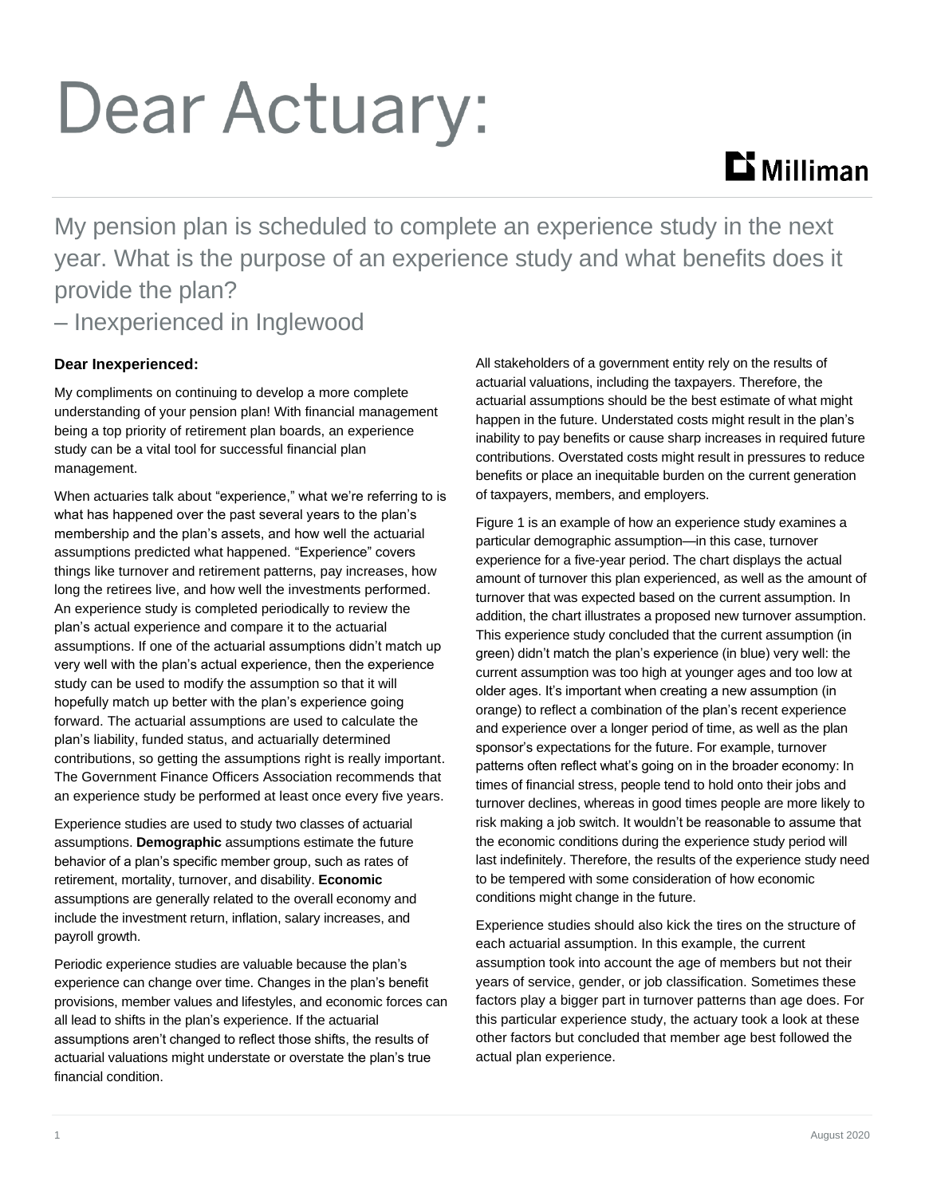# Dear Actuary:

## **Li** Milliman

My pension plan is scheduled to complete an experience study in the next year. What is the purpose of an experience study and what benefits does it provide the plan? – Inexperienced in Inglewood

### **Dear Inexperienced:**

My compliments on continuing to develop a more complete understanding of your pension plan! With financial management being a top priority of retirement plan boards, an experience study can be a vital tool for successful financial plan management.

When actuaries talk about "experience," what we're referring to is what has happened over the past several years to the plan's membership and the plan's assets, and how well the actuarial assumptions predicted what happened. "Experience" covers things like turnover and retirement patterns, pay increases, how long the retirees live, and how well the investments performed. An experience study is completed periodically to review the plan's actual experience and compare it to the actuarial assumptions. If one of the actuarial assumptions didn't match up very well with the plan's actual experience, then the experience study can be used to modify the assumption so that it will hopefully match up better with the plan's experience going forward. The actuarial assumptions are used to calculate the plan's liability, funded status, and actuarially determined contributions, so getting the assumptions right is really important. The Government Finance Officers Association recommends that an experience study be performed at least once every five years.

Experience studies are used to study two classes of actuarial assumptions. **Demographic** assumptions estimate the future behavior of a plan's specific member group, such as rates of retirement, mortality, turnover, and disability. **Economic** assumptions are generally related to the overall economy and include the investment return, inflation, salary increases, and payroll growth.

Periodic experience studies are valuable because the plan's experience can change over time. Changes in the plan's benefit provisions, member values and lifestyles, and economic forces can all lead to shifts in the plan's experience. If the actuarial assumptions aren't changed to reflect those shifts, the results of actuarial valuations might understate or overstate the plan's true financial condition.

All stakeholders of a government entity rely on the results of actuarial valuations, including the taxpayers. Therefore, the actuarial assumptions should be the best estimate of what might happen in the future. Understated costs might result in the plan's inability to pay benefits or cause sharp increases in required future contributions. Overstated costs might result in pressures to reduce benefits or place an inequitable burden on the current generation of taxpayers, members, and employers.

Figure 1 is an example of how an experience study examines a particular demographic assumption—in this case, turnover experience for a five-year period. The chart displays the actual amount of turnover this plan experienced, as well as the amount of turnover that was expected based on the current assumption. In addition, the chart illustrates a proposed new turnover assumption. This experience study concluded that the current assumption (in green) didn't match the plan's experience (in blue) very well: the current assumption was too high at younger ages and too low at older ages. It's important when creating a new assumption (in orange) to reflect a combination of the plan's recent experience and experience over a longer period of time, as well as the plan sponsor's expectations for the future. For example, turnover patterns often reflect what's going on in the broader economy: In times of financial stress, people tend to hold onto their jobs and turnover declines, whereas in good times people are more likely to risk making a job switch. It wouldn't be reasonable to assume that the economic conditions during the experience study period will last indefinitely. Therefore, the results of the experience study need to be tempered with some consideration of how economic conditions might change in the future.

Experience studies should also kick the tires on the structure of each actuarial assumption. In this example, the current assumption took into account the age of members but not their years of service, gender, or job classification. Sometimes these factors play a bigger part in turnover patterns than age does. For this particular experience study, the actuary took a look at these other factors but concluded that member age best followed the actual plan experience.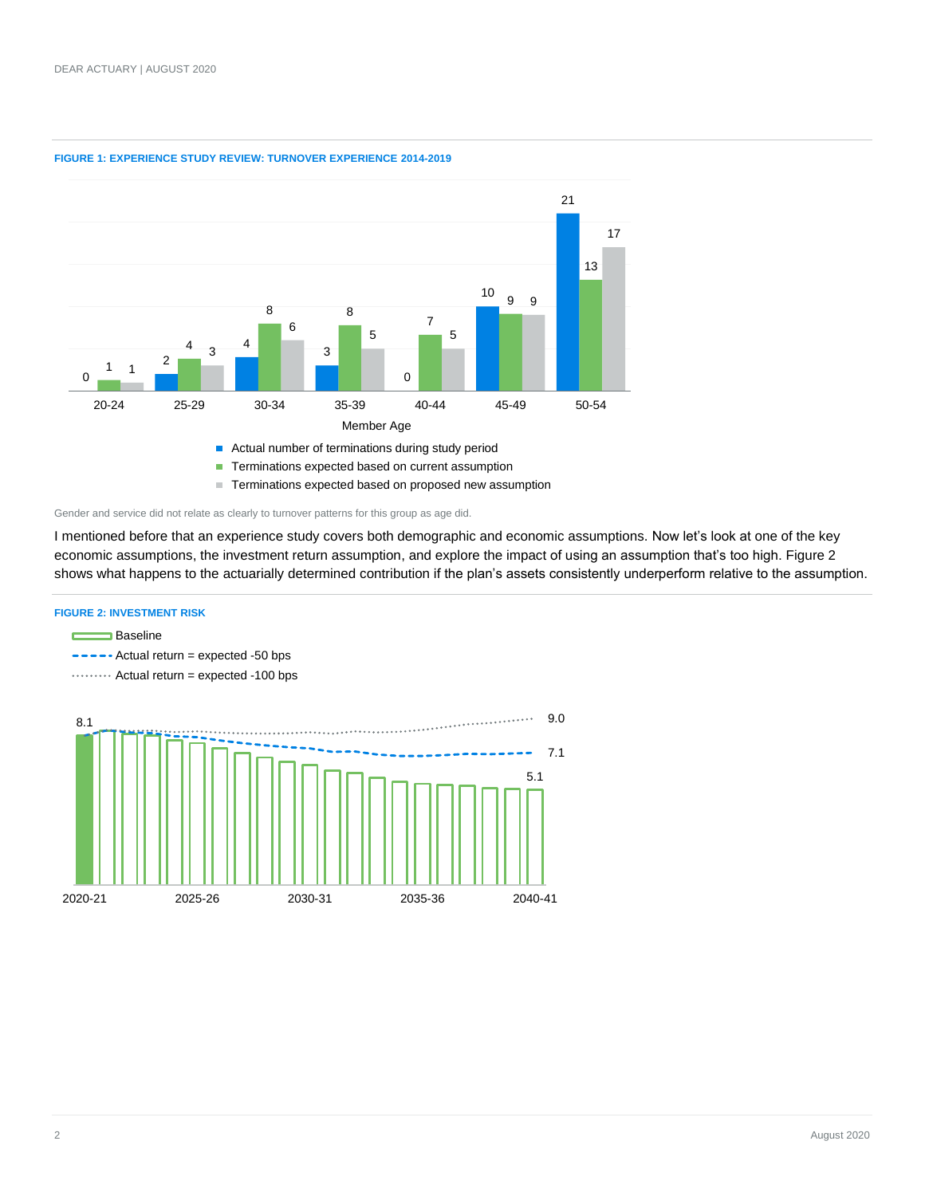

#### **FIGURE 1: EXPERIENCE STUDY REVIEW: TURNOVER EXPERIENCE 2014-2019**

■ Terminations expected based on proposed new assumption

Gender and service did not relate as clearly to turnover patterns for this group as age did.

I mentioned before that an experience study covers both demographic and economic assumptions. Now let's look at one of the key economic assumptions, the investment return assumption, and explore the impact of using an assumption that's too high. Figure 2 shows what happens to the actuarially determined contribution if the plan's assets consistently underperform relative to the assumption.

#### **FIGURE 2: INVESTMENT RISK**